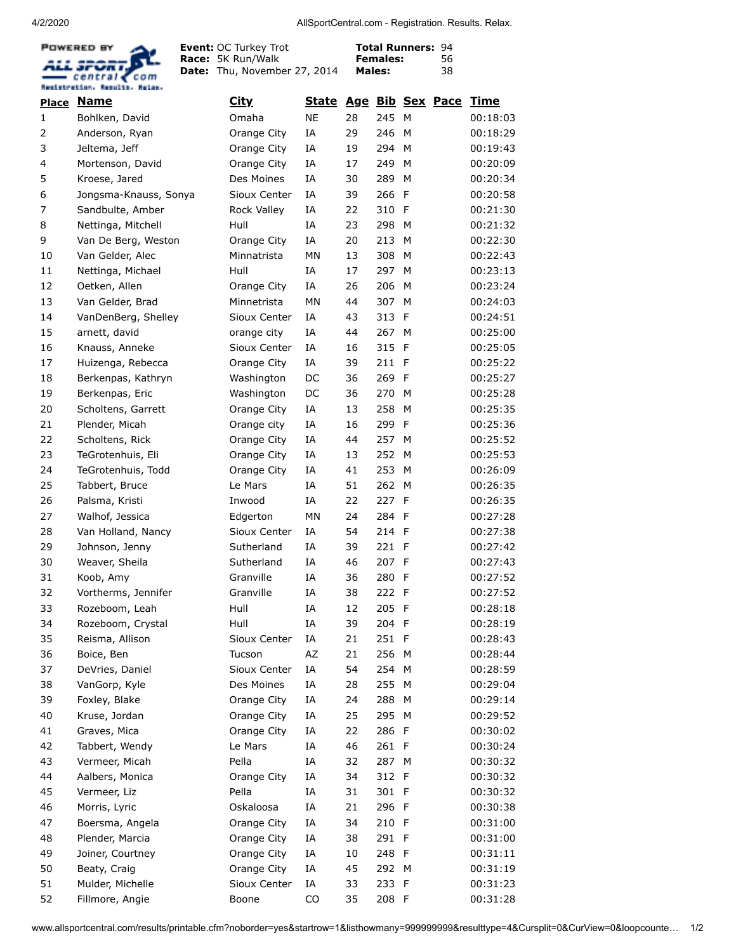4/2/2020 AllSportCentral.com - Registration. Results. Relax.



**Event: Race: Date:** Thu, November 27, 2014 OC Turkey Trot 5K Run/Walk

**Total Runners:** 94 **Females: Males:** 

| <u>Place</u> | Name                  | City               | <b>State</b> |    |       |              | Age Bib Sex Pace Time |          |
|--------------|-----------------------|--------------------|--------------|----|-------|--------------|-----------------------|----------|
| 1            | Bohlken, David        | Omaha              | <b>NE</b>    | 28 | 245   | M            |                       | 00:18:03 |
| 2            | Anderson, Ryan        | Orange City        | IA           | 29 | 246   | M            |                       | 00:18:29 |
| 3            | Jeltema, Jeff         | Orange City        | IA           | 19 | 294   | M            |                       | 00:19:43 |
| 4            | Mortenson, David      | Orange City        | IΑ           | 17 | 249   | M            |                       | 00:20:09 |
| 5            | Kroese, Jared         | Des Moines         | IA           | 30 | 289   | M            |                       | 00:20:34 |
| 6            | Jongsma-Knauss, Sonya | Sioux Center       | IΑ           | 39 | 266   | $\mathsf{F}$ |                       | 00:20:58 |
| 7            | Sandbulte, Amber      | <b>Rock Valley</b> | IA           | 22 | 310   | -F           |                       | 00:21:30 |
| 8            | Nettinga, Mitchell    | Hull               | IA           | 23 | 298   | м            |                       | 00:21:32 |
| 9            | Van De Berg, Weston   | Orange City        | IA           | 20 | 213   | M            |                       | 00:22:30 |
| 10           | Van Gelder, Alec      | Minnatrista        | MN           | 13 | 308   | M            |                       | 00:22:43 |
| 11           | Nettinga, Michael     | Hull               | IA           | 17 | 297   | M            |                       | 00:23:13 |
| 12           | Oetken, Allen         | Orange City        | ΙA           | 26 | 206   | M            |                       | 00:23:24 |
| 13           | Van Gelder, Brad      | Minnetrista        | <b>MN</b>    | 44 | 307   | M            |                       | 00:24:03 |
| 14           | VanDenBerg, Shelley   | Sioux Center       | IΑ           | 43 | 313   | F            |                       | 00:24:51 |
| 15           | arnett, david         | orange city        | IΑ           | 44 | 267   | M            |                       | 00:25:00 |
| 16           | Knauss, Anneke        | Sioux Center       | IΑ           | 16 | 315   | -F           |                       | 00:25:05 |
| 17           | Huizenga, Rebecca     | Orange City        | IΑ           | 39 | 211   | - F          |                       | 00:25:22 |
| 18           | Berkenpas, Kathryn    | Washington         | DC           | 36 | 269   | -F           |                       | 00:25:27 |
| 19           | Berkenpas, Eric       | Washington         | DC           | 36 | 270   | M            |                       | 00:25:28 |
| 20           | Scholtens, Garrett    | Orange City        | IA           | 13 | 258   | M            |                       | 00:25:35 |
| 21           | Plender, Micah        | Orange city        | IA           | 16 | 299   | F            |                       | 00:25:36 |
| 22           | Scholtens, Rick       | Orange City        | IΑ           | 44 | 257   | M            |                       | 00:25:52 |
| 23           | TeGrotenhuis, Eli     | Orange City        | IΑ           | 13 | 252   | M            |                       | 00:25:53 |
| 24           | TeGrotenhuis, Todd    | Orange City        | IΑ           | 41 | 253   | M            |                       | 00:26:09 |
| 25           | Tabbert, Bruce        | Le Mars            | IΑ           | 51 | 262   | M            |                       | 00:26:35 |
| 26           | Palsma, Kristi        | Inwood             | ΙA           | 22 | 227   | F            |                       | 00:26:35 |
| 27           | Walhof, Jessica       | Edgerton           | MN           | 24 | 284   | -F           |                       | 00:27:28 |
| 28           | Van Holland, Nancy    | Sioux Center       | IΑ           | 54 | 214   | F            |                       | 00:27:38 |
| 29           | Johnson, Jenny        | Sutherland         | IA           | 39 | 221   | F            |                       | 00:27:42 |
| 30           | Weaver, Sheila        | Sutherland         | IΑ           | 46 | 207   | $\mathsf{F}$ |                       | 00:27:43 |
| 31           | Koob, Amy             | Granville          | IΑ           | 36 | 280   | -F           |                       | 00:27:52 |
| 32           | Vortherms, Jennifer   | Granville          | ΙA           | 38 | 222 F |              |                       | 00:27:52 |
| 33           | Rozeboom, Leah        | Hull               | IΑ           | 12 | 205   | -F           |                       | 00:28:18 |
| 34           | Rozeboom, Crystal     | Hull               | IΑ           | 39 | 204 F |              |                       | 00:28:19 |
| 35           | Reisma, Allison       | Sioux Center       | ΙA           | 21 | 251 F |              |                       | 00:28:43 |
| 36           | Boice, Ben            | Tucson             | AZ           | 21 | 256   | M            |                       | 00:28:44 |
| 37           | DeVries, Daniel       | Sioux Center       | ΙA           | 54 | 254   | M            |                       | 00:28:59 |
| 38           | VanGorp, Kyle         | Des Moines         | ΙA           | 28 | 255   | M            |                       | 00:29:04 |
| 39           | Foxley, Blake         | Orange City        | ΙA           | 24 | 288   | м            |                       | 00:29:14 |
| 40           | Kruse, Jordan         | Orange City        | ΙA           | 25 | 295   | M            |                       | 00:29:52 |
| 41           | Graves, Mica          | Orange City        | ΙA           | 22 | 286 F |              |                       | 00:30:02 |
| 42           | Tabbert, Wendy        | Le Mars            | ΙA           | 46 | 261 F |              |                       | 00:30:24 |
| 43           | Vermeer, Micah        | Pella              | ΙA           | 32 | 287 M |              |                       | 00:30:32 |
| 44           | Aalbers, Monica       | Orange City        | ΙA           | 34 | 312 F |              |                       | 00:30:32 |
| 45           | Vermeer, Liz          | Pella              | ΙA           | 31 | 301 F |              |                       | 00:30:32 |
| 46           | Morris, Lyric         | Oskaloosa          | ΙA           | 21 | 296 F |              |                       | 00:30:38 |
| 47           | Boersma, Angela       | Orange City        | ΙA           | 34 | 210 F |              |                       | 00:31:00 |
| 48           | Plender, Marcia       | Orange City        | ΙA           | 38 | 291 F |              |                       | 00:31:00 |
| 49           | Joiner, Courtney      | Orange City        | ΙA           | 10 | 248 F |              |                       | 00:31:11 |
| 50           | Beaty, Craig          | Orange City        | ΙA           | 45 | 292   | M            |                       | 00:31:19 |
| 51           | Mulder, Michelle      | Sioux Center       | ΙA           | 33 | 233   | $\mathsf{F}$ |                       | 00:31:23 |
| 52           | Fillmore, Angie       | Boone              | CO           | 35 | 208 F |              |                       | 00:31:28 |